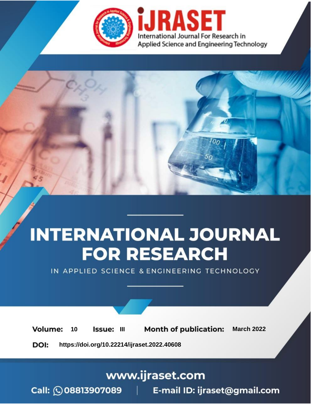

# **INTERNATIONAL JOURNAL FOR RESEARCH**

IN APPLIED SCIENCE & ENGINEERING TECHNOLOGY

10 **Issue: III Month of publication:** March 2022 **Volume:** 

**https://doi.org/10.22214/ijraset.2022.40608**DOI:

www.ijraset.com

Call: 008813907089 | E-mail ID: ijraset@gmail.com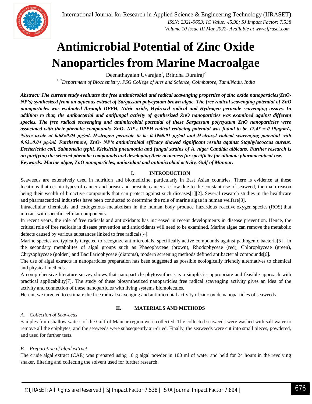

### **Antimicrobial Potential of Zinc Oxide Nanoparticles from Marine Macroalgae**

Deenathayalan Uvarajan<sup>1</sup>, Brindha Durairaj<sup>2</sup>

*1, 2Department of Biochemistry, PSG College of Arts and Science, Coimbatore, TamilNadu, India*

*Abstract: The current study evaluates the free antimicrobial and radical scavenging properties of zinc oxide nanoparticles(ZnO-NP's) synthesized from an aqueous extract of Sargassum polycystum brown algae. The free radical scavenging potential of ZnO nanoparticles was evaluated through DPPH, Nitric oxide, Hydroxyl radical and Hydrogen peroxide scavenging assays. In addition to that, the antibacterial and antifungal activity of synthesized ZnO nanoparticles was examined against different species. The free radical scavenging and antimicrobial potential of these Sargassum polycystum ZnO nanoparticles were associated with their phenolic compounds. ZnO- NP's DPPH radical reducing potential was found to be 12.45 ± 0.19μg/mL, Nitric oxide at 0.68±0.04 μg/ml, Hydrogen peroxide to be 0.39±0.01 μg/ml and Hydroxyl radical scavenging potential with 0.63±0.04 μg/ml. Furthermore, ZnO- NP's antimicrobial efficacy showed significant results against Staphylococcus aureus, Escherichia coli, Salmonella typhi, Klebsiella pneumonia and fungal strains of A. niger Candida albicans. Further research is on purifying the selected phenolic compounds and developing their acuteness for specificity for ultimate pharmaceutical use. Keywords: Marine algae, ZnO nanoparticles, antioxidant and antimicrobial activity, Gulf of Mannar.*

#### **I. INTRODUCTION**

Seaweeds are extensively used in nutrition and biomedicine, particularly in East Asian countries. There is evidence at these locations that certain types of cancer and breast and prostate cancer are low due to the constant use of seaweed, the main reason being their wealth of bioactive compounds that can protect against such diseases[1][2]. Several research studies in the healthcare and pharmaceutical industries have been conducted to determine the role of marine algae in human welfare[3].

Intracellular chemicals and endogenous metabolism in the human body produce hazardous reactive oxygen species (ROS) that interact with specific cellular components.

In recent years, the role of free radicals and antioxidants has increased in recent developments in disease prevention. Hence, the critical role of free radicals in disease prevention and antioxidants will need to be examined. Marine algae can remove the metabolic defects caused by various substances linked to free radicals[4].

Marine species are typically targeted to recognize antimicrobials, specifically active compounds against pathogenic bacteria[5] . In the secondary metabolites of algal groups such as Phaeophyceae (brown), Rhodophyceae (red), Chlorophyceae (green), Chrysophyceae (golden) and Bacillariophyceae (diatoms), modern screening methods defined antibacterial compounds[6].

The use of algal extracts in nanoparticles preparation has been suggested as possible ecologically friendly alternatives to chemical and physical methods.

A comprehensive literature survey shows that nanoparticle phytosynthesis is a simplistic, appropriate and feasible approach with practical applicability[7]. The study of these biosynthesized nanoparticles free radical scavenging activity gives an idea of the activity and connection of these nanoparticles with living systems biomolecules.

Herein, we targeted to estimate the free radical scavenging and antimicrobial activity of zinc oxide nanoparticles of seaweeds.

#### **II. MATERIALS AND METHODS**

#### *A. Collection of Seaweeds*

Samples from shallow waters of the Gulf of Mannar region were collected. The collected seaweeds were washed with salt water to remove all the epiphytes, and the seaweeds were subsequently air-dried. Finally, the seaweeds were cut into small pieces, powdered, and used for further tests.

#### *B. Preparation of algal extract*

The crude algal extract (CAE) was prepared using 10 g algal powder in 100 ml of water and held for 24 hours in the revolving shaker, filtering and collecting the solvent used for further research.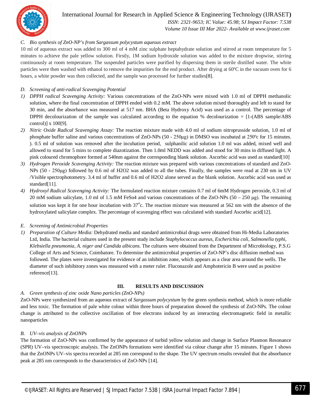

### International Journal for Research in Applied Science & Engineering Technology (IJRASET**)**

 *ISSN: 2321-9653; IC Value: 45.98; SJ Impact Factor: 7.538 Volume 10 Issue III Mar 2022- Available at www.ijraset.com*

#### *C. Bio synthesis of ZnO-NP's from Sargassum polycystum aqueous extract*

10 ml of aqueous extract was added to 300 ml of 4 mM zinc sulphate heptahydrate solution and stirred at room temperature for 5 minutes to achieve the pale yellow solution. Firstly, 1M sodium hydroxide solution was added to the mixture dropwise, stirring continuously at room temperature. The suspended particles were purified by dispersing them in sterile distilled water. The white particles were then washed with ethanol to remove the impurities for the end product. After drying at 60ºC in the vacuum oven for 6 hours, a white powder was then collected, and the sample was processed for further studies[8].

#### *D. Screening of anti-radical Scavenging Potential*

- *1) DPPH radical Scavenging Activity:* Various concentrations of the ZnO-NPs were mixed with 1.0 ml of DPPH methanolic solution, where the final concentration of DPPH ended with 0.2 mM. The above solution mixed thoroughly and left to stand for 30 min, and the absorbance was measured at 517 nm. BHA (Beta Hydroxy Acid) was used as a control. The percentage of DPPH decolourization of the sample was calculated according to the equation  $%$  decolourization = [1-(ABS sample/ABS control)] x 100[9].
- *2) Nitric Oxide Radical Scavenging Assay:* The reaction mixture made with 4.0 ml of sodium nitroprusside solution, 1.0 ml of phosphate buffer saline and various concentrations of ZnO-NPs (50 - 250μg) in DMSO was incubated at 250ºc for 15 minutes. ). 0.5 ml of solution was removed after the incubation period, sulphanilic acid solution 1.0 ml was added, mixed well and allowed to stand for 5 mins to complete diazotization. Then 1.0ml NEDD was added and stood for 30 mins in diffused light. A pink coloured chromophore formed at 540nm against the corresponding blank solution. Ascorbic acid was used as standard[10]
- *3) Hydrogen Peroxide Scavenging Activity:* The reaction mixture was prepared with various concentrations of standard and ZnO-NPs (50 - 250μg) followed by 0.6 ml of H2O2 was added to all the tubes. Finally, the samples were read at 230 nm in UV /Visible spectrophotometry. 3.4 ml of buffer and 0.6 ml of H2O2 alone served as the blank solution. Ascorbic acid was used as standard[11].
- *4) Hydroxyl Radical Scavenging Activity:* The formulated reaction mixture contains 0.7 ml of 6mM Hydrogen peroxide, 0.3 ml of 20 mM sodium salicylate, 1.0 ml of 1.5 mM FeSo4 and various concentrations of the ZnO-NPs (50 – 250 μg). The remaining solution was kept it for one hour incubation with  $37^{\circ}$ c. The reaction mixture was measured at 562 nm with the absence of the hydroxylated salicylate complex. The percentage of scavenging effect was calculated with standard Ascorbic acid[12].

#### *E. Screening of Antimicrobial Properties*

*1) Preparation of Culture Media:* Dehydrated media and standard antimicrobial drugs were obtained from Hi-Media Laboratories Ltd, India. The bacterial cultures used in the present study include *Staphylococcus aureus, Escherichia coli, Salmonella typhi, Klebsiella pneumonia, A. niger and Candida albicans*. The cultures were obtained from the Department of Microbiology, P.S.G College of Arts and Science, Coimbatore. To determine the antimicrobial properties of ZnO-NP's disc diffusion method was followed. The plates were investigated for evidence of an inhibition zone, which appears as a clear area around the wells. The diameter of such inhibitory zones was measured with a meter ruler. Fluconazole and Amphotericin B were used as positive reference[13].

#### **III. RESULTS AND DISCUSSION**

#### *A. Green synthesis of zinc oxide Nano particles (ZnO-NPs)*

ZnO-NPs were synthesized from an aqueous extract of *Sargassum polycystum* by the green synthesis method, which is more reliable and less toxic. The formation of pale white colour within three hours of preparation showed the synthesis of ZnO-NPs. The colour change is attributed to the collective oscillation of free electrons induced by an interacting electromagnetic field in metallic nanoparticles

#### *B. UV–vis analysis of ZnONPs*

The formation of ZnO-NPs was confirmed by the appearance of turbid yellow solution and change in Surface Plasmon Resonance (SPR) UV–vis spectroscopic analysis. The ZnONPs formations were identified via colour change after 15 minutes. Figure 1 shows that the ZnONPs UV–vis spectra recorded at 285 nm correspond to the shape. The UV spectrum results revealed that the absorbance peak at 285 nm corresponds to the characteristics of ZnO-NPs [14].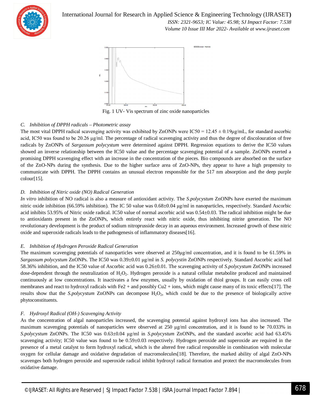

International Journal for Research in Applied Science & Engineering Technology (IJRASET**)**  *ISSN: 2321-9653; IC Value: 45.98; SJ Impact Factor: 7.538 Volume 10 Issue III Mar 2022- Available at www.ijraset.com*



Fig. 1 UV- Vis spectrum of zinc oxide nanoparticles

#### *C. Inhibition of DPPH radicals – Photometric assay*

The most vital DPPH radical scavenging activity was exhibited by ZnONPs were  $IC50 = 12.45 \pm 0.19 \mu g/mL$ , for standard ascorbic acid, IC50 was found to be 20.26 μg/ml. The percentage of radical scavenging activity and thus the degree of discolouration of free radicals by ZnONPs of *Sargassum polycystum* were determined against DPPH. Regression equations to derive the IC50 values showed an inverse relationship between the IC50 value and the percentage scavenging potential of a sample. ZnONPs exerted a promising DPPH scavenging effect with an increase in the concentration of the pieces. Bio compounds are absorbed on the surface of the ZnO-NPs during the synthesis. Due to the higher surface area of ZnO-NPs, they appear to have a high propensity to communicate with DPPH. The DPPH contains an unusual electron responsible for the 517 nm absorption and the deep purple colour[15].

#### *D. Inhibition of Nitric oxide (NO) Radical Generation*

*In vitro* inhibition of NO radical is also a measure of antioxidant activity. The *S.polycystum* ZnONPs have exerted the maximum nitric oxide inhibition (66.59% inhibition). The IC 50 value was  $0.68\pm0.04$  μg/ml in nanoparticles, respectively. Standard Ascorbic acid inhibits 53.95% of Nitric oxide radical. IC50 value of normal ascorbic acid was 0.54±0.03. The radical inhibition might be due to antioxidants present in the ZnONPs, which entirely react with nitric oxide, thus inhibiting nitrite generation. The NO revolutionary development is the product of sodium nitroprusside decay in an aqueous environment. Increased growth of these nitric oxide and superoxide radicals leads to the pathogenesis of inflammatory diseases[16].

#### *E. Inhibition of Hydrogen Peroxide Radical Generation*

The maximum scavenging potentials of nanoparticles were observed at  $250\mu\text{g/ml}$  concentration, and it is found to be 61.59% in *Sargassum polycystum* ZnONPs. The IC50 was 0.39±0.01 μg/ml in *S. polycystin* ZnONPs respectively. Standard Ascorbic acid had 58.36% inhibition, and the IC50 value of Ascorbic acid was 0.26±0.01. The scavenging activity of *S.polycystum* ZnONPs increased dose-dependent through the neutralization of  $H_2O_2$ . Hydrogen peroxide is a natural cellular metabolite produced and maintained continuously at low concentrations. It inactivates a few enzymes, usually by oxidation of thiol groups. It can easily cross cell membranes and react to hydroxyl radicals with Fe2 + and possibly Cu2 + ions, which might cause many of its toxic effects[17]. The results show that the *S.polycystum* ZnONPs can decompose H<sub>2</sub>O<sub>2</sub>, which could be due to the presence of biologically active phytoconstituents.

#### *F. Hydroxyl Radical (OH-) Scavenging Activity*

As the concentration of algal nanoparticles increased, the scavenging potential against hydroxyl ions has also increased. The maximum scavenging potentials of nanoparticles were observed at 250 μg/ml concentration, and it is found to be 70.033% in *S.polycystum* ZnONPs. The IC50 was 0.63±0.04 μg/ml in *S.polycystum* ZnONPs, and the standard ascorbic acid had 63.45% scavenging activity; IC50 value was found to be 0.59±0.03 respectively. Hydrogen peroxide and superoxide are required in the presence of a metal catalyst to form hydroxyl radical, which is the altered free radical responsible in combination with molecular oxygen for cellular damage and oxidative degradation of macromolecules[18]. Therefore, the marked ability of algal ZnO-NPs scavenges both hydrogen peroxide and superoxide radical inhibit hydroxyl radical formation and protect the macromolecules from oxidative damage.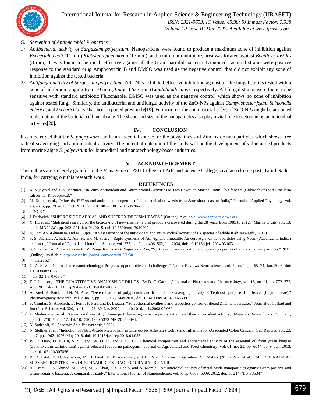

International Journal for Research in Applied Science & Engineering Technology (IJRASET**)**

 *ISSN: 2321-9653; IC Value: 45.98; SJ Impact Factor: 7.538 Volume 10 Issue III Mar 2022- Available at www.ijraset.com*

- *G. Screening of Antimicrobial Properties*
- *1) Antibacterial activity of Sargassum polycystum:* Nanoparticles were found to produce a maximum zone of inhibition against *Escherichia coli* (11 mm) *Klebsiella pneumonia* (17 mm), and a minimum inhibitory area was located against *Bacillus substiles*  (8 mm). It was found to be much effective against all the Gram harmful bacteria. Examined bacterial strains were positive response to the standard drug Amphotericin B and DMSO was used as the negative control that did not exhibit any zone of inhibition against the tested bacteria.
- *2) Antifungal activity of Sargassum polycystum:* ZnO-NPs exhibited effective inhibition against all the fungal strains tested with a zone of inhibition ranging from 10 mm (*A.niger*) *to* 7 mm (*Candida albicans*), respectively. All fungal strains were found to be sensitive with standard antibiotic Fluconazole. DMSO was used as the negative control, which shows no zone of inhibition against tested fungi. Similarly, the antibacterial and antifungal activity of the ZnO-NPs against *Campylobacter jejuni*, *Salmonella enterica*, and *Escherichia coli* has been reported previously[19]. Furthermore, the antimicrobial effect of ZnO-NPs might be attributed to disruption of the bacterial cell membrane. The shape and size of the nanoparticles also play a vital role in determining antimicrobial activities[20].

#### **IV. CONCLUSION**

It can be ended that the *S. polycystum* can be an essential source for the biosynthesis of Zinc oxide nanoparticles which shows free radical scavenging and antimicrobial activity. The potential outcome of the study will be the development of value-added products from marine algae *S. polycystum* for biomedical and nanotechnology-based industries.

#### **V. ACKNOWLEDGEMENT**

The authors are sincerely grateful to the Management, PSG College of Arts and Science College, civil aerodrome post, Tamil Nadu, India, for carrying out this research work.

#### **REFERENCES**

- [1] K. Vijayavel and J. A. Martinez, "In Vitro Antioxidant and Antimicrobial Activities of Two Hawaiian Marine Limu: Ulva fasciata (Chlorophyta) and Gracilaria salicornia (Rhodophyta)."
- [2] M. Kumar et al., "Minerals, PUFAs and antioxidant properties of some tropical seaweeds from Saurashtra coast of India," Journal of Applied Phycology, vol. 23, no. 5, pp. 797–810, Oct. 2011, doi: 10.1007/s10811-010-9578-7.
- [3] "NCE."
- [4] I. Fridovich, "SUPEROXIDE RADICAL AND SUPEROXIDE DISMUTASES." [Online]. Available: www.annualreviews.org
- [5] Y. Hu et al., "Statistical research on the bioactivity of new marine natural products discovered during the 28 years from 1985 to 2012," Marine Drugs, vol. 13, no. 1. MDPI AG, pp. 202–221, Jan. 01, 2015. doi: 10.3390/md13010202.
- [6] S. Cox, Abu-Ghannam, and N. Gupta, "An assessment of the antioxidant and antimicrobial activity of six species of edible Irish seaweeds," 2010.
- [7] S. S. Shankar, A. Rai, A. Ahmad, and M. Sastry, "Rapid synthesis of Au, Ag, and bimetallic Au core-Ag shell nanoparticles using Neem (Azadirachta indica) leaf broth," Journal of Colloid and Interface Science, vol. 275, no. 2, pp. 496–502, Jul. 2004, doi: 10.1016/j.jcis.2004.03.003.
- [8] S. Siva Kumar, P. Venkateswarlu, V. Ranga Rao, and G. Nageswara Rao, "Synthesis, characterization and optical properties of zinc oxide nanoparticles," 2013. [Online]. Available: http://www.inl-journal.com/content/3/1/30
- [9] "nmat2162".
- [10] G. A. Silva, "Neuroscience nanotechnology: Progress, opportunities and challenges," Nature Reviews Neuroscience, vol. 7, no. 1. pp. 65–74, Jan. 2006. doi: 10.1038/nrn1827.
- [11] "biy-32-1-8-0703-3".
- [12] E. I. Johnson, " THE QUANTITATIVE ANALYSIS OF DRUGS . By D. C. Garratt ," Journal of Pharmacy and Pharmacology, vol. 16, no. 11, pp. 772–772, Apr. 2011, doi: 10.1111/j.2042-7158.1964.tb07408.x.
- [13] A. Patel, A. Patel, and N. M. Patel, "Determination of polyphenols and free radical scavenging activity of Tephrosia purpurea linn leaves (Leguminosae)," Pharmacognosy Research, vol. 2, no. 3, pp. 152–158, May 2010, doi: 10.4103/0974-8490.65509.
- [14] S. Cimitan, S. Albonetti, L. Forni, F. Peri, and D. Lazzari, "Solvothermal synthesis and properties control of doped ZnO nanoparticles," Journal of Colloid and Interface Science, vol. 329, no. 1, pp. 73–80, Jan. 2009, doi: 10.1016/j.jcis.2008.09.060.
- [15] H. Shabestarian et al., "Green synthesis of gold nanoparticles using sumac aqueous extract and their antioxidant activity," Materials Research, vol. 20, no. 1, pp. 264–270, Jan. 2017, doi: 10.1590/1980-5373-MR-2015-0694.
- [16] N. Smirnoff, "L-Ascorbic Acid Biosynthesis," 2001.
- [17] N. Stettner et al., "Induction of Nitric-Oxide Metabolism in Enterocytes Alleviates Colitis and Inflammation-Associated Colon Cancer," Cell Reports, vol. 23, no. 7, pp. 1962–1976, May 2018, doi: 10.1016/j.celrep.2018.04.053.
- [18] W. R. Diao, Q. P. Hu, S. S. Feng, W. Q. Li, and J. G. Xu, "Chemical composition and antibacterial activity of the essential oil from green huajiao (Zanthoxylum schinifolium) against selected foodborne pathogens," Journal of Agricultural and Food Chemistry, vol. 61, no. 25, pp. 6044–6049, Jun. 2013, doi: 10.1021/jf4007856.
- [19] B. D. Patel, Y. H. Kamariya, M. B. Patel, M. Bharatkumar, and D. Patel, "Pharmacologyonline 2: 134-145 (2011) Patel et al. 134 FREE RADICAL SCAVEEGIIG POTEETIAL OF ETHAAOLIC EXTRACT OF URARIA PICTA LIII."
- [20] A. Azam, A. S. Ahmed, M. Oves, M. S. Khan, S. S. Habib, and A. Memic, "Antimicrobial activity of metal oxide nanoparticles against Gram-positive and Gram-negative bacteria: A comparative study," International Journal of Nanomedicine, vol. 7, pp. 6003–6009, 2012, doi: 10.2147/IJN.S35347